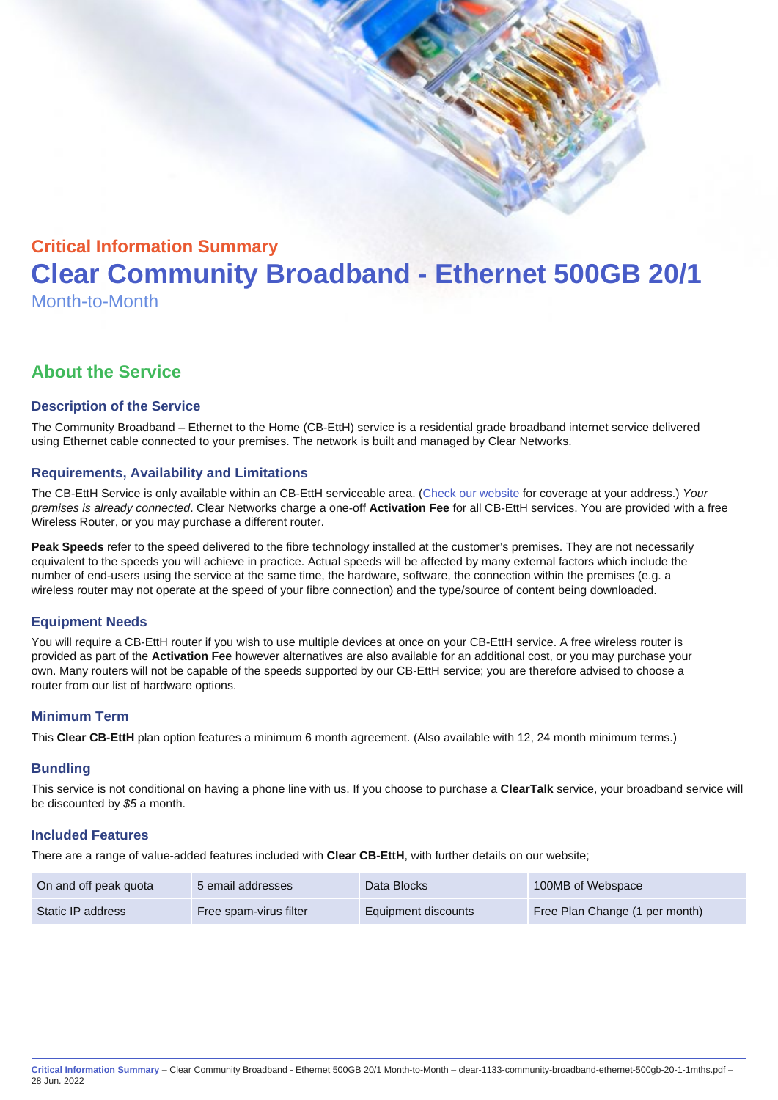# Critical Information Summary Clear Community Broadband - Ethernet 500GB 20/1 Month-to-Month

# About the Service

# Description of the Service

The Community Broadband – Ethernet to the Home (CB-EttH) service is a residential grade broadband internet service delivered using Ethernet cable connected to your premises. The network is built and managed by Clear Networks.

# Requirements, Availability and Limitations

The CB-EttH Service is only available within an CB-EttH serviceable area. ([Check our website](https://www.clear.com.au/residential/community-broadband/) for coverage at your address.) Your premises is already connected. Clear Networks charge a one-off Activation Fee for all CB-EttH services. You are provided with a free Wireless Router, or you may purchase a different router.

Peak Speeds refer to the speed delivered to the fibre technology installed at the customer's premises. They are not necessarily equivalent to the speeds you will achieve in practice. Actual speeds will be affected by many external factors which include the number of end-users using the service at the same time, the hardware, software, the connection within the premises (e.g. a wireless router may not operate at the speed of your fibre connection) and the type/source of content being downloaded.

#### Equipment Needs

You will require a CB-EttH router if you wish to use multiple devices at once on your CB-EttH service. A free wireless router is provided as part of the Activation Fee however alternatives are also available for an additional cost, or you may purchase your own. Many routers will not be capable of the speeds supported by our CB-EttH service; you are therefore advised to choose a router from our list of hardware options.

### Minimum Term

This Clear CB-EttH plan option features a minimum 6 month agreement. (Also available with 12, 24 month minimum terms.)

#### **Bundling**

This service is not conditional on having a phone line with us. If you choose to purchase a ClearTalk service, your broadband service will be discounted by \$5 a month.

#### Included Features

There are a range of value-added features included with Clear CB-EttH , with further details on our website;

| On and off peak quota | 5 email addresses      | Data Blocks         | 100MB of Webspace              |
|-----------------------|------------------------|---------------------|--------------------------------|
| Static IP address     | Free spam-virus filter | Equipment discounts | Free Plan Change (1 per month) |